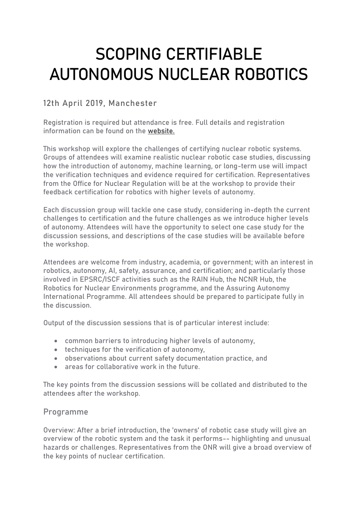# SCOPING CERTIFIABLE AUTONOMOUS NUCLEAR ROBOTICS

# 12th April 2019, Manchester

Registration is required but attendance is free. Full details and registration information can be found on the [website.](https://autonomy-and-verification-uol.github.io/events/fnrc/workshop2/)

This workshop will explore the challenges of certifying nuclear robotic systems. Groups of attendees will examine realistic nuclear robotic case studies, discussing how the introduction of autonomy, machine learning, or long-term use will impact the verification techniques and evidence required for certification. Representatives from the Office for Nuclear Regulation will be at the workshop to provide their feedback certification for robotics with higher levels of autonomy.

Each discussion group will tackle one case study, considering in-depth the current challenges to certification and the future challenges as we introduce higher levels of autonomy. Attendees will have the opportunity to select one case study for the discussion sessions, and descriptions of the case studies will be available before the workshop.

Attendees are welcome from industry, academia, or government; with an interest in robotics, autonomy, AI, safety, assurance, and certification; and particularly those involved in EPSRC/ISCF activities such as the RAIN Hub, the NCNR Hub, the Robotics for Nuclear Environments programme, and the Assuring Autonomy International Programme. All attendees should be prepared to participate fully in the discussion.

Output of the discussion sessions that is of particular interest include:

- common barriers to introducing higher levels of autonomy,
- techniques for the verification of autonomy,
- observations about current safety documentation practice, and
- areas for collaborative work in the future.

The key points from the discussion sessions will be collated and distributed to the attendees after the workshop.

## Programme

Overview: After a brief introduction, the 'owners' of robotic case study will give an overview of the robotic system and the task it performs-- highlighting and unusual hazards or challenges. Representatives from the ONR will give a broad overview of the key points of nuclear certification.